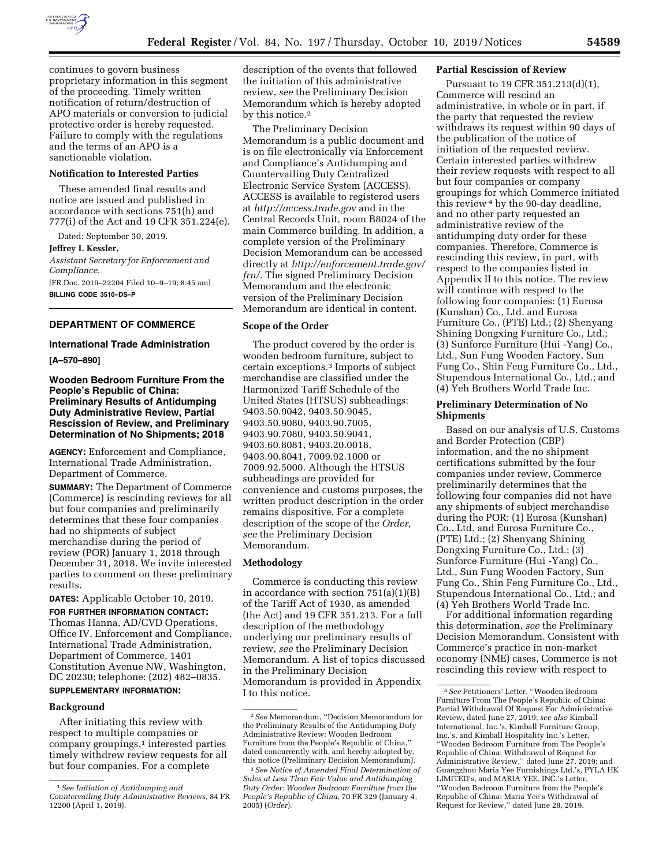

continues to govern business proprietary information in this segment of the proceeding. Timely written notification of return/destruction of APO materials or conversion to judicial protective order is hereby requested. Failure to comply with the regulations and the terms of an APO is a sanctionable violation.

# **Notification to Interested Parties**

These amended final results and notice are issued and published in accordance with sections 751(h) and 777(i) of the Act and 19 CFR 351.224(e).

Dated: September 30, 2019.

#### **Jeffrey I. Kessler,**

*Assistant Secretary for Enforcement and Compliance.* 

[FR Doc. 2019–22204 Filed 10–9–19; 8:45 am] **BILLING CODE 3510–DS–P** 

# **DEPARTMENT OF COMMERCE**

## **International Trade Administration**

**[A–570–890]** 

# **Wooden Bedroom Furniture From the People's Republic of China: Preliminary Results of Antidumping Duty Administrative Review, Partial Rescission of Review, and Preliminary Determination of No Shipments; 2018**

**AGENCY:** Enforcement and Compliance, International Trade Administration, Department of Commerce.

**SUMMARY:** The Department of Commerce (Commerce) is rescinding reviews for all but four companies and preliminarily determines that these four companies had no shipments of subject merchandise during the period of review (POR) January 1, 2018 through December 31, 2018. We invite interested parties to comment on these preliminary results.

#### **DATES:** Applicable October 10, 2019.

**FOR FURTHER INFORMATION CONTACT:**  Thomas Hanna, AD/CVD Operations, Office IV, Enforcement and Compliance, International Trade Administration, Department of Commerce, 1401 Constitution Avenue NW, Washington, DC 20230; telephone: (202) 482–0835. **SUPPLEMENTARY INFORMATION:** 

#### **Background**

After initiating this review with respect to multiple companies or company groupings,<sup>1</sup> interested parties timely withdrew review requests for all but four companies. For a complete

description of the events that followed the initiation of this administrative review, *see* the Preliminary Decision Memorandum which is hereby adopted by this notice.2

The Preliminary Decision Memorandum is a public document and is on file electronically via Enforcement and Compliance's Antidumping and Countervailing Duty Centralized Electronic Service System (ACCESS). ACCESS is available to registered users at *<http://access.trade.gov>*and in the Central Records Unit, room B8024 of the main Commerce building. In addition, a complete version of the Preliminary Decision Memorandum can be accessed directly at *[http://enforcement.trade.gov/](http://enforcement.trade.gov/frn/)  [frn/.](http://enforcement.trade.gov/frn/)* The signed Preliminary Decision Memorandum and the electronic version of the Preliminary Decision Memorandum are identical in content.

### **Scope of the Order**

The product covered by the order is wooden bedroom furniture, subject to certain exceptions.3 Imports of subject merchandise are classified under the Harmonized Tariff Schedule of the United States (HTSUS) subheadings: 9403.50.9042, 9403.50.9045, 9403.50.9080, 9403.90.7005, 9403.90.7080, 9403.50.9041, 9403.60.8081, 9403.20.0018, 9403.90.8041, 7009.92.1000 or 7009.92.5000. Although the HTSUS subheadings are provided for convenience and customs purposes, the written product description in the order remains dispositive. For a complete description of the scope of the *Order, see* the Preliminary Decision Memorandum.

#### **Methodology**

Commerce is conducting this review in accordance with section  $751(a)(1)(B)$ of the Tariff Act of 1930, as amended (the Act) and 19 CFR 351.213. For a full description of the methodology underlying our preliminary results of review, *see* the Preliminary Decision Memorandum. A list of topics discussed in the Preliminary Decision Memorandum is provided in Appendix I to this notice.

#### **Partial Rescission of Review**

Pursuant to 19 CFR 351.213(d)(1), Commerce will rescind an administrative, in whole or in part, if the party that requested the review withdraws its request within 90 days of the publication of the notice of initiation of the requested review. Certain interested parties withdrew their review requests with respect to all but four companies or company groupings for which Commerce initiated this review 4 by the 90-day deadline, and no other party requested an administrative review of the antidumping duty order for these companies. Therefore, Commerce is rescinding this review, in part, with respect to the companies listed in Appendix II to this notice. The review will continue with respect to the following four companies: (1) Eurosa (Kunshan) Co., Ltd. and Eurosa Furniture Co., (PTE) Ltd.; (2) Shenyang Shining Dongxing Furniture Co., Ltd.; (3) Sunforce Furniture (Hui -Yang) Co., Ltd., Sun Fung Wooden Factory, Sun Fung Co., Shin Feng Furniture Co., Ltd., Stupendous International Co., Ltd.; and (4) Yeh Brothers World Trade Inc.

## **Preliminary Determination of No Shipments**

Based on our analysis of U.S. Customs and Border Protection (CBP) information, and the no shipment certifications submitted by the four companies under review, Commerce preliminarily determines that the following four companies did not have any shipments of subject merchandise during the POR: (1) Eurosa (Kunshan) Co., Ltd. and Eurosa Furniture Co., (PTE) Ltd.; (2) Shenyang Shining Dongxing Furniture Co., Ltd.; (3) Sunforce Furniture (Hui -Yang) Co., Ltd., Sun Fung Wooden Factory, Sun Fung Co., Shin Feng Furniture Co., Ltd., Stupendous International Co., Ltd.; and (4) Yeh Brothers World Trade Inc.

For additional information regarding this determination, *see* the Preliminary Decision Memorandum. Consistent with Commerce's practice in non-market economy (NME) cases, Commerce is not rescinding this review with respect to

<sup>1</sup>*See Initiation of Antidumping and Countervailing Duty Administrative Reviews,* 84 FR 12200 (April 1, 2019).

<sup>2</sup>*See* Memorandum, ''Decision Memorandum for the Preliminary Results of the Antidumping Duty Administrative Review: Wooden Bedroom Furniture from the People's Republic of China,'' dated concurrently with, and hereby adopted by, this notice (Preliminary Decision Memorandum).

<sup>3</sup>*See Notice of Amended Final Determination of Sales at Less Than Fair Value and Antidumping Duty Order: Wooden Bedroom Furniture from the People's Republic of China,* 70 FR 329 (January 4, 2005) (*Order*).

<sup>4</sup>*See* Petitioners' Letter, ''Wooden Bedroom Furniture From The People's Republic of China: Partial Withdrawal Of Request For Administrative Review, dated June 27, 2019; *see also* Kimball International, Inc.'s, Kimball Furniture Group, Inc.'s, and Kimball Hospitality Inc.'s Letter, ''Wooden Bedroom Furniture from The People's Republic of China: Withdrawal of Request for Administrative Review,'' dated June 27, 2019; and Guangzhou Maria Yee Furnishings Ltd.'s, PYLA HK LIMITED's, and MARIA YEE, INC.'s Letter, ''Wooden Bedroom Furniture from the People's Republic of China: Maria Yee's Withdrawal of Request for Review,'' dated June 28, 2019.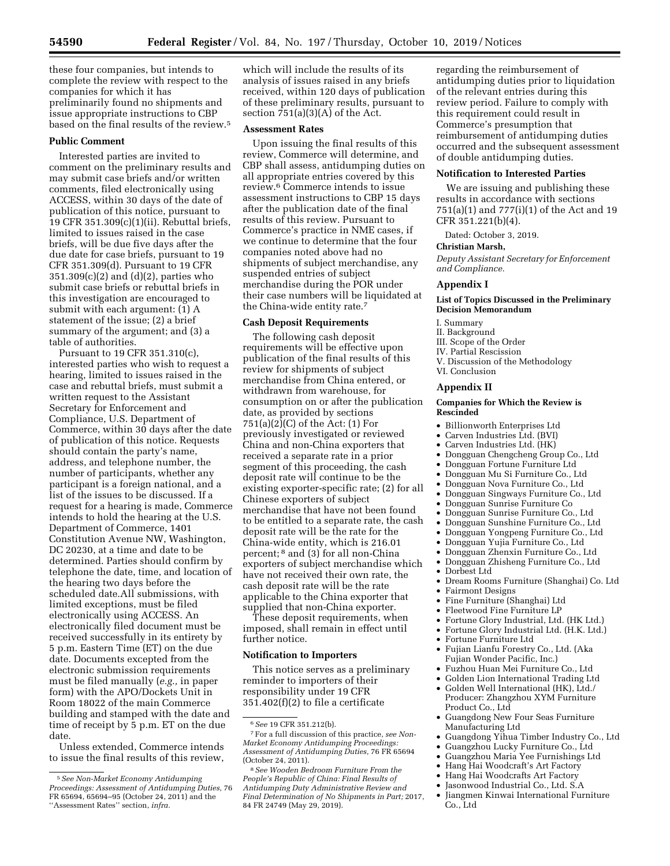these four companies, but intends to complete the review with respect to the companies for which it has preliminarily found no shipments and issue appropriate instructions to CBP based on the final results of the review.5

## **Public Comment**

Interested parties are invited to comment on the preliminary results and may submit case briefs and/or written comments, filed electronically using ACCESS, within 30 days of the date of publication of this notice, pursuant to 19 CFR 351.309(c)(1)(ii). Rebuttal briefs, limited to issues raised in the case briefs, will be due five days after the due date for case briefs, pursuant to 19 CFR 351.309(d). Pursuant to 19 CFR 351.309(c)(2) and (d)(2), parties who submit case briefs or rebuttal briefs in this investigation are encouraged to submit with each argument: (1) A statement of the issue; (2) a brief summary of the argument; and (3) a table of authorities.

Pursuant to 19 CFR 351.310(c), interested parties who wish to request a hearing, limited to issues raised in the case and rebuttal briefs, must submit a written request to the Assistant Secretary for Enforcement and Compliance, U.S. Department of Commerce, within 30 days after the date of publication of this notice. Requests should contain the party's name, address, and telephone number, the number of participants, whether any participant is a foreign national, and a list of the issues to be discussed. If a request for a hearing is made, Commerce intends to hold the hearing at the U.S. Department of Commerce, 1401 Constitution Avenue NW, Washington, DC 20230, at a time and date to be determined. Parties should confirm by telephone the date, time, and location of the hearing two days before the scheduled date.All submissions, with limited exceptions, must be filed electronically using ACCESS. An electronically filed document must be received successfully in its entirety by 5 p.m. Eastern Time (ET) on the due date. Documents excepted from the electronic submission requirements must be filed manually (*e.g.,* in paper form) with the APO/Dockets Unit in Room 18022 of the main Commerce building and stamped with the date and time of receipt by 5 p.m. ET on the due date.

Unless extended, Commerce intends to issue the final results of this review,

which will include the results of its analysis of issues raised in any briefs received, within 120 days of publication of these preliminary results, pursuant to section  $751(a)(3)(A)$  of the Act.

#### **Assessment Rates**

Upon issuing the final results of this review, Commerce will determine, and CBP shall assess, antidumping duties on all appropriate entries covered by this review.6 Commerce intends to issue assessment instructions to CBP 15 days after the publication date of the final results of this review. Pursuant to Commerce's practice in NME cases, if we continue to determine that the four companies noted above had no shipments of subject merchandise, any suspended entries of subject merchandise during the POR under their case numbers will be liquidated at the China-wide entity rate.7

## **Cash Deposit Requirements**

The following cash deposit requirements will be effective upon publication of the final results of this review for shipments of subject merchandise from China entered, or withdrawn from warehouse, for consumption on or after the publication date, as provided by sections 751(a)(2)(C) of the Act: (1) For previously investigated or reviewed China and non-China exporters that received a separate rate in a prior segment of this proceeding, the cash deposit rate will continue to be the existing exporter-specific rate; (2) for all Chinese exporters of subject merchandise that have not been found to be entitled to a separate rate, the cash deposit rate will be the rate for the China-wide entity, which is 216.01 percent; 8 and (3) for all non-China exporters of subject merchandise which have not received their own rate, the cash deposit rate will be the rate applicable to the China exporter that supplied that non-China exporter.

These deposit requirements, when imposed, shall remain in effect until further notice.

### **Notification to Importers**

This notice serves as a preliminary reminder to importers of their responsibility under 19 CFR 351.402(f)(2) to file a certificate

regarding the reimbursement of antidumping duties prior to liquidation of the relevant entries during this review period. Failure to comply with this requirement could result in Commerce's presumption that reimbursement of antidumping duties occurred and the subsequent assessment of double antidumping duties.

## **Notification to Interested Parties**

We are issuing and publishing these results in accordance with sections 751(a)(1) and 777(i)(1) of the Act and 19 CFR 351.221(b)(4).

Dated: October 3, 2019.

#### **Christian Marsh,**

*Deputy Assistant Secretary for Enforcement and Compliance.* 

#### **Appendix I**

## **List of Topics Discussed in the Preliminary Decision Memorandum**

- I. Summary
- II. Background
- III. Scope of the Order
- IV. Partial Rescission
- V. Discussion of the Methodology
- VI. Conclusion

## **Appendix II**

## **Companies for Which the Review is Rescinded**

- Billionworth Enterprises Ltd
- Carven Industries Ltd. (BVI)<br>• Carven Industries Ltd. (HK)
- Carven Industries Ltd. (HK)
- Dongguan Chengcheng Group Co., Ltd
- Dongguan Fortune Furniture Ltd
- Dongguan Mu Si Furniture Co., Ltd
- Dongguan Nova Furniture Co., Ltd
- Dongguan Singways Furniture Co., Ltd
- Dongguan Sunrise Furniture Co
- Dongguan Sunrise Furniture Co., Ltd
- Dongguan Sunshine Furniture Co., Ltd
- Dongguan Yongpeng Furniture Co., Ltd • Dongguan Yujia Furniture Co., Ltd
- Dongguan Zhenxin Furniture Co., Ltd
- 
- Dongguan Zhisheng Furniture Co., Ltd
- Dorbest Ltd<br>• Dream Roor
- Dream Rooms Furniture (Shanghai) Co. Ltd
- Fairmont Designs
- Fine Furniture (Shanghai) Ltd
- Fleetwood Fine Furniture LP
- Fortune Glory Industrial, Ltd. (HK Ltd.)
- Fortune Glory Industrial Ltd. (H.K. Ltd.)
- Fortune Furniture Ltd
- Fujian Lianfu Forestry Co., Ltd. (Aka Fujian Wonder Pacific, Inc.)
- Fuzhou Huan Mei Furniture Co., Ltd
- Golden Lion International Trading Ltd
- Golden Well International (HK), Ltd./ Producer: Zhangzhou XYM Furniture Product Co., Ltd
- Guangdong New Four Seas Furniture Manufacturing Ltd
- Guangdong Yihua Timber Industry Co., Ltd
- Guangzhou Lucky Furniture Co., Ltd
- Guangzhou Maria Yee Furnishings Ltd
- Hang Hai Woodcraft's Art Factory
- Hang Hai Woodcrafts Art Factory
- Jasonwood Industrial Co., Ltd. S.A
- Jiangmen Kinwai International Furniture Co., Ltd

<sup>5</sup>*See Non-Market Economy Antidumping Proceedings: Assessment of Antidumping Duties,* 76 FR 65694, 65694–95 (October 24, 2011) and the ''Assessment Rates'' section, *infra.* 

<sup>6</sup>*See* 19 CFR 351.212(b).

<sup>7</sup>For a full discussion of this practice, *see Non-Market Economy Antidumping Proceedings: Assessment of Antidumping Duties,* 76 FR 65694 (October 24, 2011).

<sup>8</sup>*See Wooden Bedroom Furniture From the People's Republic of China: Final Results of Antidumping Duty Administrative Review and Final Determination of No Shipments in Part;* 2017, 84 FR 24749 (May 29, 2019).